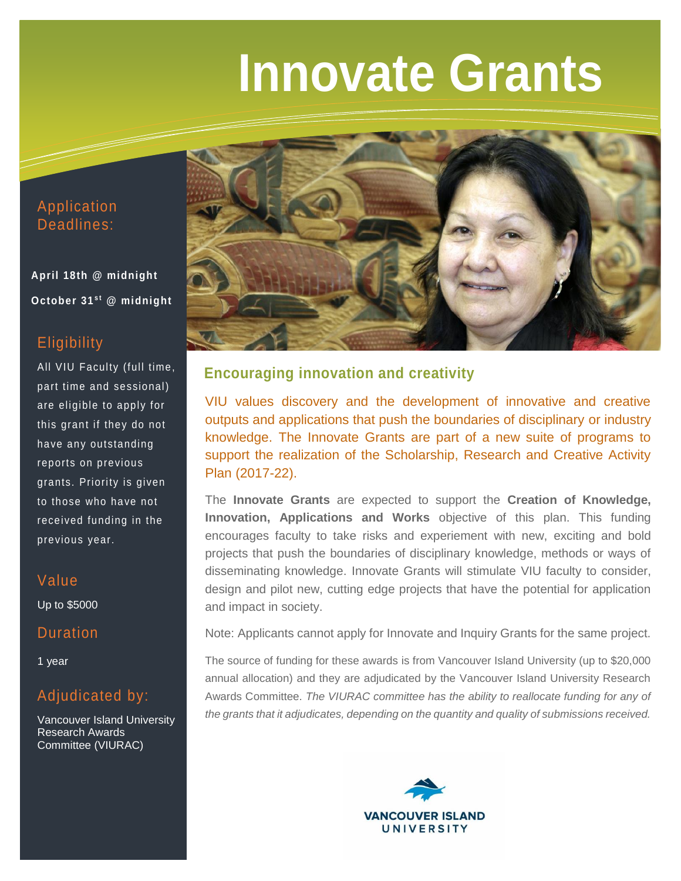# **Innovate Grants**

## Application Deadlines:

**April 18th @ midnight October 31st @ midnight** 

# **Eligibility**

All VIU Faculty (full time, part time and sessional) are eligible to apply for this grant if they do not have any outstanding reports on previous grants. Priority is given to those who have not received funding in the previous year.

## Value

Up to \$5000

## **Duration**

1 year

# Adjudicated by:

Vancouver Island University Research Awards Committee (VIURAC)



## **Encouraging innovation and creativity**

VIU values discovery and the development of innovative and creative outputs and applications that push the boundaries of disciplinary or industry knowledge. The Innovate Grants are part of a new suite of programs to support the realization of the Scholarship, Research and Creative Activity Plan (2017-22).

The **Innovate Grants** are expected to support the **Creation of Knowledge, Innovation, Applications and Works** objective of this plan. This funding encourages faculty to take risks and experiement with new, exciting and bold projects that push the boundaries of disciplinary knowledge, methods or ways of disseminating knowledge. Innovate Grants will stimulate VIU faculty to consider, design and pilot new, cutting edge projects that have the potential for application and impact in society.

Note: Applicants cannot apply for Innovate and Inquiry Grants for the same project.

The source of funding for these awards is from Vancouver Island University (up to \$20,000 annual allocation) and they are adjudicated by the Vancouver Island University Research Awards Committee. *The VIURAC committee has the ability to reallocate funding for any of the grants that it adjudicates, depending on the quantity and quality of submissions received.*